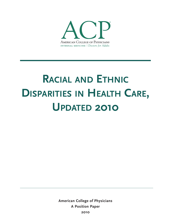

# **RACIAL AND ETHNIC DISPARITIES IN HEALTH CARE, UPDATED 2010**

**American College of Physicians A Position Paper 2010**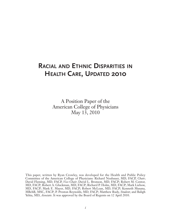# **RACIAL AND ETHNIC DISPARITIES IN HEALTH CARE, UPDATED 2010**

A Position Paper of the American College of Physicians May 13, 2010

This paper, written by Ryan Crowley, was developed for the Health and Public Policy Committee of the American College of Physicians: Richard Neubauer, MD, FACP, *Chair*; David Fleming, MD, FACP, *Vice-Chair*; David L. Bronson, MD, FACP; Robert M. Centor, MD, FACP; Robert A. Gluckman, MD, FACP; Richard P. Holm, MD, FACP; Mark Liebow, MD, FACP; Mark E. Mayer, MD, FACP; Robert McLean, MD, FACP; Kenneth Musana, MBchB, MSC, FACP; P. Preston Reynolds, MD, FACP; Matthew Rudy, *Student*; and Baligh Yehia, MD, *Associate*. It was approved by the Board of Regents on 12 April 2010.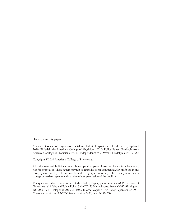How to cite this paper:

American College of Physicians. Racial and Ethnic Disparities in Health Care, Updated 2010. Philadelphia: American College of Physicians; 2010: Policy Paper. (Available from American College of Physicians, 190 N. Independence Mall West, Philadelphia, PA 19106.)

Copyright ©2010 American College of Physicians.

All rights reserved. Individuals may photocopy all or parts of Position Papers for educational, not-for-profit uses. These papers may not be reproduced for commercial, for-profit use in any form, by any means (electronic, mechanical, xerographic, or other) or held in any information storage or retrieval system without the written permission of the publisher.

For questions about the content of this Policy Paper, please contact ACP, Division of Governmental Affairs and Public Policy, Suite 700, 25 Massachusetts Avenue NW, Washington, DC 20001-7401; telephone 202-261-4500. To order copies of this Policy Paper, contact ACP Customer Service at 800-523-1546, extension 2600, or 215-351-2600.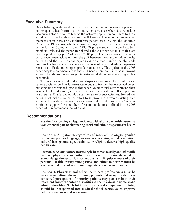# **Executive Summary**

Overwhelming evidence shows that racial and ethnic minorities are prone to poorer quality health care than white Americans, even when factors such as insurance status are controlled. As the nation's population continues to grow and diversify, the health care system will have to change and adjust to meet the needs of an increasingly multicultural patient base. In 2003, the American College of Physicians, which is now the largest medical specialty society in the United States with over 129,000 physicians and medical student members, released the paper Racial and Ethnic Disparities in Health Care (www.acponline.org/ppvl/policies/e000904.pdf). The paper provided a number of recommendations on how the gulf between racial and ethnic minority patients and their white counterparts can be closed. Unfortunately, while progress has been made in some areas, the issue of racial and ethnic disparities remains a difficult and complex problem to address. This update of the 2003 paper adopts recommendations that still need attention – such as improving access to health insurance among minorities – and also notes where progress has been made.

The sources of racial and ethnic disparities are rooted not only in the nation's dysfunctional health care system but also in a number of societal determinants that are touched upon in this paper. An individual's environment, their income, level of education, and other factors all affect health or reflect a person's health status. If racial and ethnic disparities are to be successfully addressed, the nation must make a concerted effort to improve the stressors existing both within and outside of the health care system itself. In addition to the College's continued support for a number of recommendations outlined in the 2003 paper, ACP recommends the following:

## **Recommendations**

**Position 1: Providing all legal residents with affordable health insurance is an essential part of eliminating racial and ethnic disparities in health care.** 

**Position 2: All patients, regardless of race, ethnic origin, gender, nationality, primary language, socioeconomic status, sexual orientation, cultural background, age, disability, or religion, deserve high-quality health care.**

**Position 3: As our society increasingly becomes racially and ethnically diverse, physicians and other health care professionals need to acknowledge the cultural, informational, and linguistic needs of their patients. Health literacy among racial and ethnic minorities must be strengthened in a culturally and linguistically sensitive manner.** 

**Position 4: Physicians and other health care professionals must be sensitive to cultural diversity among patients and recognize that preconceived perceptions of minority patients may play a role in their treatment and contribute to disparities in health care among racial and ethnic minorities. Such initiatives as cultural competency training should be incorporated into medical school curriculae to improve cultural awareness and sensitivity.**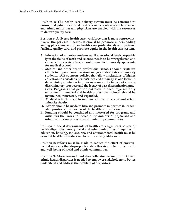**Position 5: The health care delivery system must be reformed to ensure that patient-centered medical care is easily accessible to racial and ethnic minorities and physicians are enabled with the resources to deliver quality care.** 

**Position 6: A diverse health care workforce that is more representative of the patients it serves is crucial to promote understanding among physicians and other health care professionals and patients, facilitate quality care, and promote equity in the health care system.**

- **A. Education of minority students at all educational levels, especially in the fields of math and science, needs to be strengthened and enhanced to create a larger pool of qualified minority applicants for medical school.**
- **B. Medical and other health professional schools should revitalize efforts to improve matriculation and graduation rates of minority students. ACP supports policies that allow institutions of higher education to consider a person's race and ethnicity as one factor in determining admission in order to counter the impact of current discriminatory practices and the legacy of past discrimination practices. Programs that provide outreach to encourage minority enrollment in medical and health professional schools should be maintained, reinstated, and expanded.**
- **C. Medical schools need to increase efforts to recruit and retain minority faculty.**
- **D. Efforts should be made to hire and promote minorities in leadership positions in all arenas of the health care workforce.**
- **E. Funding should be continued and increased for programs and initiatives that work to increase the number of physicians and other health care professionals in minority communities.**

**Position 7: Social determinants of health are a significant source of health disparities among racial and ethnic minorities. Inequities in education, housing, job security, and environmental health must be erased if health disparities are to be effectively addressed.** 

**Position 8: Efforts must be made to reduce the effect of environmental stressors that disproportionately threaten to harm the health and well-being of racial and ethnic communities.** 

**Position 9: More research and data collection related to racial and ethnic health disparities is needed to empower stakeholders to better understand and address the problem of disparities.**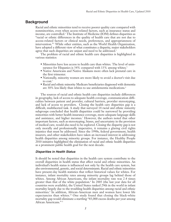# **Background**

Racial and ethnic minorities tend to receive poorer quality care compared with nonminorities, even when access-related factors, such as insurance status and income, are controlled.<sup>1</sup> The Institute of Medicine (IOM) defines disparities as "racial or ethnic differences in the quality of health care that are not due to access-related factors or clinical needs, preferences, and appropriateness of intervention."2 While other entities, such as the World Health Organization, have adopted a different view of what constitutes a disparity, major stakeholders agree that such disparities are unjust and need to be addressed.<sup>3</sup>

The problem of racial and ethnic health care disparities is highlighted in various statistics:

- Minorities have less access to health care than whites. The level of uninsurance for Hispanics is 34% compared with 13% among whites.<sup>4</sup>
- Native Americans and Native Alaskans more often lack prenatal care in the first trimester.
- Nationally, minority women are more likely to avoid a doctor's visit due to  $cost.<sup>5</sup>$
- Racial and ethnic minority Medicare beneficiaries diagnosed with dementia are 30% less likely than whites to use antidementia medications.<sup>6</sup>

The sources of racial and ethnic health care disparities include differences in geography, lack of access to adequate health coverage, communication difficulties between patient and provider, cultural barriers, provider stereotyping, and lack of access to providers. Closing the health care disparities gap is a difficult, multifaceted task. A study that surveyed 14 racial and ethnic minority subgroups concluded that health disparities could be narrowed by providing minorities with better health insurance coverage, more adequate language skills and assistance, and higher incomes.<sup>7</sup> However, the authors noted that other important factors, such as stereotyping, biases, and uncertainty in the provision of medical care, would also need to be explored. Closing the disparity gap is not only morally and professionally imperative, it remains a glaring civil rights injustice that must be addressed. Since the 1990s, federal government, health insurers, and other stakeholders have taken an increased interest in addressing health disparities among minority groups. For instance, the Healthy People 2010 initiative highlighted the elimination of racial and ethnic health disparities as a prominent public health goal for the next decade.

#### *Disparities in Health Status*

It should be noted that disparities in the health care system contribute to the overall disparities in health status that affect racial and ethnic minorities. An individual's health status is influenced not only by the health care system, but also environmental, genetic, and social determinants. Racial and ethnic minorities have present-day health statistics that reflect historical values for whites. For instance, infant mortality rates among minority groups lag behind those of whites. Among African Americans, the infant mortality rate was 2.4 times greater than that of the white population.<sup>8</sup> In 2005 (the last year data for all countries were available), the United States ranked 29th in the world in infant mortality largely due to the troubling health disparities among racial and ethnic minorities.9 In addition, African-American men and women have lower life expectancies than whites.<sup>10</sup> One study found that closing the black-white mortality gap would eliminate a startling "83,000 excess deaths per year among African Americans." <sup>11</sup>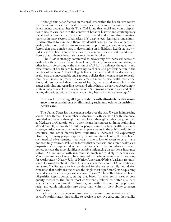Although this paper focuses on the problems within the health care system that cause and exacerbate health disparities, one cannot discount the social determinants that affect health. The IOM found that "racial and ethnic disparities in health care occur in the context of broader historic and contemporary social and economic inequality, and [that] racial and ethnic discrimination [persists] in many sectors of American life" despite legal, legislative, and administrative efforts to eliminate them. Residential segregation, lack of access to quality education, and barriers to economic opportunity, among others, are all factors that play a major part in determining an individual's health status.12,13,14 If disparities in health are to be alleviated, a comprehensive effort to address all factors that influence health status must be undertaken.

The ACP is strongly committed to advocating for increased access to quality health care for all regardless of race, ethnicity, socioeconomic status, or other factors. Accordingly, the mission of ACP is, "To enhance the quality and effectiveness of health care by fostering excellence and professionalism in the practice of medicine." The College believes that racial and ethnic disparities in health care are unacceptable and supports policies that increase access to health care for all, invest in preventive care, create a more diverse health care workforce, address societal determinants of health, and expand research into the causes and solutions regarding racial and ethnic health disparities. Accordingly, strategic objectives of the College include "improving access to care and eliminating disparities, with a focus on expanding health insurance coverage."15

#### **Position 1: Providing all legal residents with affordable health insurance is an essential part of eliminating racial and ethnic disparities in health care.**

The United States has made great strides over the past 50 years in improving access to health care. The number of Americans with access to health insurance, provided as a benefit through their employer, through a public program such as Medicare or Medicaid, or by other means, has increased dramatically since World War II, although 46 million people currently lack health insurance coverage. Advancements in medicine, improvements in the public health infrastructure, and other factors have dramatically increased life expectancy. However, for many people, especially in communities of color, the benefits of such medical advancements – particularly due to lack of access to care – have not been fully realized. While the factors that cause racial and ethnic health care disparities are complex and often extend outside of the boundaries of health policy, perhaps the most significant variable influencing disparities is insurance status. An individual with insurance is much more likely to access care. Minorities are more likely to be uninsured than whites, even when accounting for work status.<sup>16</sup> Nearly 32% of Native Americans/Native Alaskans are uninsured, followed by about 31% of Hispanics; whereas, about 11% of whites are uninsured.17 A literature review conducted for the Kaiser Family Foundation concluded that health insurance was the single most significant factor explaining racial disparities in having a usual source of care.18 The 2007 National Health Disparities Report concurs, stating that based "on analyses of a set of core quality measures, the factor most consistently related to better quality is whether a patient is insured."<sup>19</sup> However, even within the uninsured population, racial and ethnic minorities fare worse than whites in their ability to access health care.<sup>20</sup>

Lack of access to adequate insurance has severe consequences related to a person's health status, their ability to receive preventive care, and their ability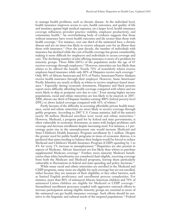to manage health problems, such as chronic disease. At the individual level, health insurance improves access to care, health outcomes, and quality of life and insulates against high medical expenses; on a larger level, health insurance coverage influences provider practice viability, employee productivity, and community health.<sup>21</sup> An overwhelming body of evidence suggests that those without insurance have worse health outcomes and die sooner than those with health coverage.<sup>22</sup> For instance, over one third of the uninsured have a chronic disease and are six times less likely to receive adequate care for an illness than those with insurance.<sup>23</sup> Over the past decade, the number of individuals with insurance has declined while the cost of health coverage has grown considerably, making it more difficult for employers and individuals to access coverage and care. The declining number of jobs offering insurance is more of a problem for minority groups. Three fifths (60%) of the population under the age of 65 receives coverage through employers.<sup>24</sup> However, minorities are less likely than whites to be offered the benefit. Nearly 70% of nonelderly whites receive employer-based insurance while only 40% of Hispanics receive such coverage.<sup>25</sup> Only 48% of African Americans and 43% of Native Americans/Native Alaskans receive health insurance through their employer. However, Asian Americans/ Pacific Islanders are nearly as likely as whites to receive employer-based insurance.26 Especially during economic downturns, Hispanics and black persons report more difficulty affording health coverage compared with whites and are more likely to skip or postpone care due to cost.<sup>27</sup> Even among higher income populations, racial and ethnic minorities are less likely to be insured; in 2007- 2008, almost one third of Hispanic families earning 400% federal poverty level (FPL) or above lacked coverage compared with  $16\%$  of whites.<sup>28</sup>

Partly because of the difficulty in accessing affordable private health insurance, racial and ethnic minorities are more likely to receive coverage through public programs. According to 2007 U.S. Census statistics, half of the nation's nearly 40 million Medicaid enrollees were racial and ethnic minorities.<sup>29</sup> However, Medicaid, a program paid for by federal and state governments, is often vulnerable in economic downturns, as states with budget problems curb coverage and decrease enrollment despite increasing need. For instance, a 1 percentage point rise in the unemployment rate would increase Medicaid and State Children's Health Insurance Program enrollment by 1 million. Despite the greater need for public health programs in times of economic distress, it is predicted that states needing to balance their budgets would be forced to reduce Medicaid and Children's Health Insurance Program (CHIP) spending by 3 to 4% for every 1% increase in unemployment.30 Disparities are also present in aspects of Medicare. African Americans are less likely than whites to purchase supplemental Medicare coverage.<sup>31</sup> Further, more minority Medicare beneficiaries than white beneficiaries are considered dual-eligible, receiving coverage from both the Medicare and Medicaid programs, leaving them particularly vulnerable to fluctuations in federal and state spending and policy decisions.<sup>32</sup>

While many racial and ethnic minorities are enrolled in the Medicaid and CHIP programs, many more are eligible for such coverage but are not enrolled, either because they are unaware of their eligibility or face other barriers, such as limited English proficiency and enrollment process complexities. For instance, more than 80% of uninsured African-American children and 70% of uninsured Latino children are eligible for Medicaid or CHIP coverage.<sup>33</sup> Streamlined enrollment processes coupled with aggressive outreach efforts to increase participation among eligible minority groups are essential so more of the uninsured can get health insurance coverage. Such efforts should be sensitive to the linguistic and cultural needs of the targeted populations.<sup>34</sup> Federal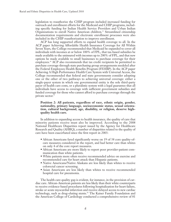legislation to reauthorize the CHIP program included increased funding for outreach and enrollment efforts for the Medicaid and CHIP programs, including specific funding for Indian Health Service Providers and Urban Indian Organizations to enroll Native American children.<sup>35</sup> Streamlined citizenship documentation requirements and electronic enrollment processes were also included in the CHIP reauthorization to improve enrollment.

ACP has long supported efforts to expand health coverage to all. In the ACP paper Achieving Affordable Health Insurance Coverage for All Within Seven Years, the College recommended that Medicaid be expanded to cover all individuals with incomes at or below 100% of FPL, that tax-based subsidies be made available to the uninsured with incomes up to 200% of FPL, and that new options be made available to small businesses to purchase coverage for their employees.<sup>36</sup> ACP also recommends that tax credit recipients be permitted to purchase coverage through state purchasing group arrangements modeled after the Federal Employees Health Benefits Program (FEHBP). In the ACP paper Achieving A High Performance Health Care System with Universal Access, the College recommended that federal and state governments consider adopting one or the other of two pathways to achieving universal coverage: either a single-payer system in which one governmental entity is the sole third-party payer of health care costs, or a pluralistic system with a legal guarantee that all individuals have access to coverage with sufficient government subsidies and funded coverage for those who cannot afford to purchase coverage through the private sector.<sup>37</sup>

#### **Position 2: All patients, regardless of race, ethnic origin, gender, nationality, primary language, socioeconomic status, sexual orientation, cultural background, age, disability, or religion, deserve highquality health care.**

In addition to expanding access to health insurance, the quality of care that minority patients receive must also be improved. According to the 2008 National Healthcare Disparities report issued by the Agency for Healthcare Research and Quality (AHRQ), a number of disparities related to the quality of care have been exacerbated since the first report in 2003:

- African Americans fared significantly worse on 19 of 38 core quality-ofcare measures considered in the report, and had better care than whites on only 4 of the core report measures.
- African Americans are more likely to report poor provider-patient communication than white patients.
- White patients more often receive recommended advice on exercise and recommended care for heart attack than Hispanic patients.
- Native Americans/Native Alaskans are less likely than whites to receive colorectal cancer screening.
- Asian Americans are less likely than whites to receive recommended hospital care for pneumonia.

The health care quality gap is evident, for instance, in the provision of cardiac care. African-American patients are less likely than their white counterparts to receive evidence-based procedures following hospitalization for heart failure, stroke or acute myocardial infarction and receive delayed access to new cardiac technology, such as drug-eluting stents.<sup>38</sup> The Kaiser Family Foundation and the American College of Cardiology conducted a comprehensive review of 81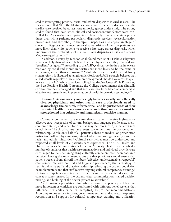studies investigating potential racial and ethnic disparities in cardiac care. The review found that 68 of the 81 studies discovered evidence of disparities in the cardiac care received by at least one minority group under study. The strong studies found that even when clinical and socioeconomic factors were controlled for, African-American patients are less likely to receive certain procedures than white patients, particularly diagnostic services, revascularization procedures, and thrombolytic therapy.39 Disparities also appear in stage of cancer at diagnosis and cancer survival rates. African-American patients are more likely than white patients to receive a late-stage cancer diagnosis, which undermines the probability of survival. Such disparities exist even among Medicare-aged patients.<sup>40</sup>

In addition, a study by Blendon et al. found that 10 of 14 ethnic subgroups were less likely than whites to believe that the physician care they received was "excellent" or "good."<sup>41</sup> According to the AHRQ, disparities in the quality of care received by racial and ethnic minorities are more likely to be the same or worsening, rather than improving.<sup>42</sup> While the issue of health care delivery system reform is discussed at length under Position 6, ACP strongly believes that all individuals, regardless of racial or ethnic background, should have access to quality care. In the ACP white paper Controlling Health Care Costs While Promoting the Best Possible Health Outcomes, the College recommends that clinically effective care be encouraged and that such care should be based on comparative effectiveness research and implementation of health information technology.<sup>43</sup>

#### **Position 3: As our society increasingly becomes racially and ethnically diverse, physicians and other health care professionals need to acknowledge the cultural, informational, and linguistic needs of their patients. Health literacy among racial and ethnic minorities must be strengthened in a culturally and linguistically sensitive manner.**

Culturally competent care ensures that all patients receive high-quality, effective care irrespective of cultural background, language proficiency, socioeconomic status, and other factors that may be informed by a patient's race or ethnicity.44 Lack of cultural awareness can undermine the doctor-patient relationship. While only half of all patients adhere to medical or prescription instructions offered by clinicians, rates of adherence are significantly lower for racial and ethnic minorities.<sup>45</sup> Cultural sensitivities must be understood and respected at all levels of a patient's care experience. The U.S. Health and Human Services Administration's Office of Minority Health has identified a number of standards that health care organizations and individual providers are encouraged to use when integrating culturally competent care techniques into practice. Among the recommendations are that providers should ensure that patients receive from all staff members "effective, understandable, respectful" care compatible with cultural and linguistic preferences; that a strategy to recruit a diverse staff and practice leadership reflecting the patient population be implemented; and that staff receive ongoing cultural competency training.<sup>46</sup> Cultural competency is a key part of delivering patient-centered care; both concepts stress respect for the patient, clear communication, shared decision making, and building of the doctor-patient relationship.<sup>47</sup>

As the nation's population diversifies, cultural competency will become more important as clinicians are confronted with different belief systems that influence their ability or patient receptivity to provider recommendations. According to one survey, insurers, government entities, and educators expressed recognition and support for cultural competency training and utilization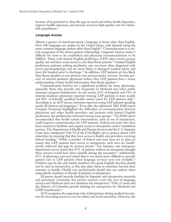because of its potential to close the gap on racial and ethnic health disparities, improve health outcomes, and increase access to high-quality care for vulnerable populations.<sup>48</sup>

#### *Language Access*

Almost a quarter of Americans speak a language at home other than English. Over 300 languages are spoken in the United States, with Spanish being the most common language spoken other than English.<sup>49</sup> Communication is a critical component of the doctor-patient relationship. Linguistic barriers make it difficult for trust to be established and physician recommendations to be fulfilled. Those with limited English proficiency (LEP) often receive poorer quality care and have worse access to care than fluent patients.<sup>50</sup> Limited English proficiency patients seeking psychiatric care are more often diagnosed with severe psychopathology and are more likely to disregard medical advice and leave the hospital prior to discharge.<sup>51</sup> In addition, LEP patients are less likely than fluent speakers to use primary care and preventive services. Seventy percent of internal medicine physicians believe that LEP patients have a worse understanding of basic health information than fluent speakers.<sup>52</sup>

Communication barriers are a significant problem for many physicians, especially those who provide care frequently to Medicaid and other public insurance program beneficiaries. In one survey, 63% of hospitals and 54% of internal medicine physicians reported treating LEP patients at least weekly and 84% of federally qualified health centers cared for LEP patients daily.<sup>53</sup> According to an ACP survey, internists reported seeing LEP patients speaking nearly 80 dialects and languages.54 Even after the influential 2002 IOM report Unequal Treatment highlighted the difficulties of communication between physicians and other health providers and patients with limited English proficiency, the problem has worsened among some groups.55 The IOM report recommended that health system interventions, such as use of interpreters, could improve communication for LEP patients. Federal and state laws have been enacted to facilitate and require access to interpretive and/or translation services. The Department of Health and Human Services and the U.S. Supreme Court have interpreted Title VI of the Civil Rights Act to protect citizen LEP minorities by ensuring that they have access to health care providers receiving federal funding.56 While a number of federal and state laws are in place to ensure that LEP patients have access to interpreters, such laws are insufficiently enforced and gaps in services persist.<sup>57</sup> For instance, one emergency department survey found that 87% of patients without an interpreter thought these services would have been valuable during the encounter.58 Additionally, 61% of physicians surveyed stated that it was much more difficult to provide patient care to LEP patients when language services were not available.<sup>59</sup> Children may be the only family members who speak English, but they should not be used as interpreters, as this may place them in situations beyond their maturity to handle. Health care professionals should also use caution when using family members or friends of patients as interpreters.

All payers should provide funding for linguistic and interpretive materials and personnel. Currently, few private insurers cover the cost of language services and Medicare does not reimburse for interpreters.<sup>60</sup> Only 12 states and the District of Columbia provide funding for interpreters for Medicaid and CHIP beneficiaries.<sup>61</sup>

ACP recognizes the important role of interpreters during medical encounters for increasing access to care for ethnic and racial minorities. However, the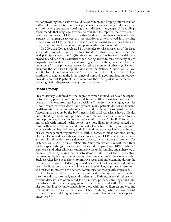cost of providing these services could be exorbitant, and keeping interpreters on staff would be impractical for most physician practices serving multiple ethnic and minority populations speaking many different languages. The College recommends that language services be available to improve the provision of health care services to LEP patients, that Medicare reimburse clinicians for the expense of language services and the additional time involved in providing clinical care for LEP patients, and that a national clearinghouse be established to provide translated documents and patient education materials.<sup>62</sup>

In 2004, the College released 11 principles to raise awareness of the issue and guide stakeholders in their efforts to address this important matter. The lead principle states that "(e)ffective communication between health care providers and patients is essential to facilitating access to care, reducing health disparities and medical errors, and assuring a patient's ability to adhere to treatment plans."<sup>63</sup> The principles were endorsed by a number of other organizations, including the American Hospital Association, the National Council of La Raza, and the Joint Commission on the Accreditation of Health Care. The College continues to emphasize the importance of improving communication between providers and LEP patients and maintains that this goal is fundamental to reducing health disparities among minority patients.

#### *Health Literacy*

Health literacy is defined as "the degree to which individuals have the capacity to obtain, process, and understand basic health information and services needed to make appropriate health decisions." <sup>64</sup> Even when a language barrier is not present between doctor and patient, many patients do not understand health-related recommendations conveyed by health care professionals. According to a report by the IOM, nearly half of all Americans have difficulty understanding and acting upon health information, such as insurance forms, prescription drug labels, and other medical information.65 The IOM found that individuals with limited health literacy are more likely to be hospitalized than those with adequate literacy and to report a lower health status, and that individuals with low health literacy and chronic disease are less likely to adhere to disease management regimens.<sup>66,67</sup> Health illiteracy is most common among older adults, individuals with low education levels, and LEP patients. Some racial and ethnic minorities are particularly likely to have low health literacy. For instance, only 55% of Central/South American patients report that their doctor explains things in a way they understand compared with  $\overline{81\%}$  of whites.<sup>68</sup> Physicians and other clinicians can improve the understanding and adherence to medical orders by asking patients to demonstrate use of their medication regimen and by having patients restate recommendations in their own words.<sup>69</sup> Such exercises have been shown to improve recall and understanding during the encounter.<sup>70</sup> A survey of federally qualified health centers, free clinics, and migrant health facilities found that when clinicians used plain language, used illustrations, and sat face-to-face with the patient, communication was greatly improved.<sup>71</sup>

The fragmented nature of the nation's health care system makes medical care more difficult to navigate and understand. Patients, especially those with chronic diseases, are often cared for by nurses, primary care physicians, and specialists. Better patient engagement by the clinician and staff; clear communication that is easily understandable to those with limited literacy; and creating treatments based on a patient's level of health literacy while acknowledging cultural inputs and language needs are all ways that may improve patient outcomes. $72,73$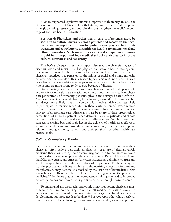ACP has supported legislative efforts to improve health literacy. In 2007 the College endorsed the National Health Literacy Act, which would improve strategic planning, research, and coordination to strengthen the public's knowledge of accurate health information.

**Position 4: Physicians and other health care professionals must be sensitive to cultural diversity among patients and recognize that preconceived perceptions of minority patients may play a role in their treatment and contribute to disparities in health care among racial and ethnic minorities. Such initiatives as cultural competency training should be incorporated into medical school curriculae to improve cultural awareness and sensitivity.** 

The IOM's Unequal Treatment report discussed the shameful legacy of discrimination and racism that has plagued our nation's health care system. Past segregation of the health care delivery system, from hospitals to small physician practices, has persisted in the minds of racial and ethnic minority patients, and the wounds of this tarnished legacy remain. Minority patients are more likely than their white counterparts to perceive racism in the health care system and are more prone to delay care because of distrust.<sup>74</sup>

Unfortunately, whether conscious or not, bias and prejudice do play a role in the delivery of health care to racial and ethnic minorities. In a study of physician perceptions of minority patients, physicians surveyed rated African-American patients as less intelligent, less educated, more likely to abuse alcohol and drugs, more likely to fail to comply with medical advice and less likely to participate in cardiac rehabilitation than white patients.75 Preconceived determinations made by health professionals may inform and undermine the delivery of appropriate care. Physicians must be aware of their preconceived perceptions of minority patients when delivering care to patients and should deliver care based on clinical evidence of effectiveness. While there is no panacea to erasing bias and prejudice in the delivery of health care, efforts to strengthen understanding through cultural competency training may improve relations among minority patients and their physician or other health care professionals.

#### *Cultural Competency Training*

Racial and ethnic minorities tend to receive less clinical information from their physician, often believe that their physician is not aware of alternative/folk medicine therapies used by their community, and tend to feel more removed from the decision-making process than white patients. Research has also found that Hispanic, Asian, and African-American patients have diminished trust and feel less respect from their physicians than white patients.76 Evidence suggests that the practice of medicine can have a dehumanizing effect on clinicians and that physicians may become so absorbed by the "culture of biomedicine" that it may become difficult to relate to those with differing views on the practice of medicine.77,78 Evidence that cultural competency training can lead to improved patient outcomes and fewer liability claims exists, although more research is needed.79

To understand and treat racial and ethnic minorities better, physicians must engage in cultural competency training at all medical education levels. An increasing number of medical schools offer pathways to cultural competence development, but more needs to be done.<sup>80</sup> Surveys report that while nearly all residents believe that addressing cultural issues is moderately or very important,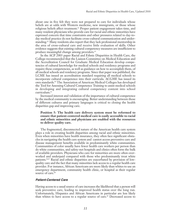about one in five felt they were not prepared to care for individuals whose beliefs are at odds with Western medicine, new immigrants, or those whose religious beliefs affect treatment.81 Proper patient engagement takes time, and many resident physicians who provide care for racial and ethnic minorities have expressed concern that time constraints and other pressures related to day-today medical practice do not facilitate cross-cultural communication and understanding.82 Many residents also report that they lack professional mentorship in the area of cross-cultural care and receive little evaluation of skills. Other evidence suggests that existing cultural competency measures are insufficient to produce meaningful change among providers.83

In the ACP 2003 paper Racial and Ethnic Disparities in Health Care, the College recommended that the Liaison Committee on Medical Education and the Accreditation Council for Graduate Medical Education develop competencies of cultural knowledge for medical schools and residency programs and require these competencies, as well as guidance on how to accomplish them, of all medical schools and residency programs. Since that paper was published, the LCME has issued an accreditation standard requiring all medical schools to incorporate cultural competence into their curricula. ACGME has issued its own standards.84 The Association of American Medical Colleges has developed the Tool for Assessing Cultural Competence Training to assist medical schools in developing and integrating cultural competency content into school curriculum.<sup>85</sup>

Increased interest and validation of the importance of cultural competence by the medical community is encouraging. Better understanding between those of different cultures and primary languages is critical to closing the health disparities gap and improving care.

#### **Position 5: The health care delivery system must be reformed to ensure that patient-centered medical care is easily accessible to racial and ethnic minorities and physicians are enabled with the resources to deliver quality care.**

The fragmented, disconnected nature of the American health care system plays a role in creating health disparities among racial and ethnic minorities. Even when minorities have health insurance, they often face significant obstacles in navigating the health care system and cannot access preventive care and disease management benefits available in predominantly white communities. Communities of color usually have fewer health care workers per person than do white communities, and safety-net hospitals and clinics often form the bulk of available providers. Physicians who care for minorities are more often overworked and underpaid compared with those who predominantly treat white patients.<sup>86,87</sup> Racial and ethnic disparities are exacerbated by provision of lowquality care and the fact that many minorities lack access to a regular health care provider. For instance, African Americans are more likely than whites to use an emergency department, community health clinic, or hospital as their regular source of care.<sup>88</sup>

#### *Patient-Centered Care*

Having access to a usual source of care increases the likelihood that a person will seek preventive care, leading to improved health status over the long run. Unfortunately, Hispanics and African Americans in particular are less likely than whites to have access to a regular source of care.<sup>89</sup> Decreased access to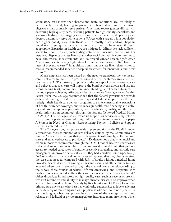ambulatory care means that chronic and acute conditions are less likely to be properly treated, leading to preventable hospitalizations. In addition, physicians that primarily serve African Americans report greater difficulty in delivering high-quality care, referring patients to high-quality specialists, and accessing high-quality imaging services for their patients than do primary care doctors that mostly serve white patients.<sup>90</sup> Areas with a largely white population had higher-quality care than those with a mostly black and/or Hispanic population, arguing that racial and ethnic disparities can be reduced if overall geographic disparities in health care are mitigated.91 Minorities lack sufficient access to preventive care, such as diagnostic screenings and vaccinations. For instance, Hispanics are less likely than other racial and ethnic communities to have cholesterol measurements and colorectal cancer screenings.<sup>92</sup> Asian Americans, despite having high rates of insurance and income, often have low rates of preventive care.<sup>93</sup> In addition, minorities are less likely than whites to receive recommended inpatient hospital treatment for pneumonia and heart failure.94

Much emphasis has been placed on the need to transform the way health care is delivered to incentivize prevention and patient-centered care rather than reactive care. ACP is a strong proponent of the concept of patient-centered care and believes that such care will improve the bond between doctor and patient, strengthening trust, communication, understanding, and health outcomes. In the ACP paper Achieving Affordable Health Insurance Coverage for All Within Seven Years, the College recommended that the federal government provide dedicated funding to states that have requested federal support for efforts to redesign their health care delivery programs to achieve measurable expansions of health insurance coverage, and to redesign health care financing and delivery systems to emphasize prevention, care coordination, quality, and the use of health information technology through the Patient-Centered Medical Home (PCMH).95 The College also expressed its support for service delivery reforms that promote patient-centered, longitudinal, coordinated care in the paper A System in Need of Change: Restructuring Payment Policies to Support Patient-Centered Care.<sup>96</sup>

The College strongly supports wide implementation of the PCMH model, a prevention-focused method of care delivery defined by the Commonwealth Fund as "a health care setting that provides patients with timely, well-organized care, and enhanced access to providers." <sup>97</sup> Evidence shows that when racial and ethnic minorities receive care through the PCMH model, health disparities are reduced. A survey conducted by the Commonwealth Fund found that patient's access to needed care, rates of routine preventive screening, and chronic care management improved dramatically when they had a medical home. Specifically, 74% of adults with a medical home surveyed reported that they always received the care they needed, compared with 52% of adults without a medical home provider. Access disparities among whites and racial and ethnic minorities are lessened when care is received through the medical home model; according to the survey, three fourths of whites, African Americans, and Hispanics with medical homes reported getting the care they needed when they needed it.<sup>98</sup> Other disparities in indicators of high-quality care, such as receipt of preventive visit reminders and ability to manage chronic disease, also improve when a patient has a medical home. A study by Reschovsky and O'Malley found that primary care physicians who treat many minority patients face unique challenges in the delivery of care compared with physicians who see few minority patients, such as language barriers, poorer health status of the average patient, and reliance on Medicaid or private managed care insurance reimbursements, which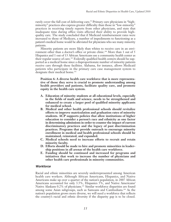rarely cover the full cost of delivering care.<sup>99</sup> Primary care physicians in "highminority" practices also express greater difficulty than those in "low-minority" practices in receiving timely reports from other physicians, and state that inadequate time during office visits affected their ability to provide highquality care. The study concluded that if Medicaid reimbursement rates were increased to those of Medicare, a number of impediments to functioning as a patient's medical home would be alleviated for physicians who see many minority patients.

Minority patients are more likely than whites to receive care in an environment other than a doctor's office or private clinic.<sup>100</sup> More than 1 out of 5 Hispanics and 1 out of 13 African Americans use a community health center as their regular source of care.101 Federally qualified health centers should be supported as a medical home since a disproportionate number of minority patients receive care through these facilities. Alabama, for instance, allows Medicaid patients who participate in the primary care case management system to designate their medical home.<sup>102</sup>

**Position 6: A diverse health care workforce that is more representative of those they serve is crucial to promote understanding among health providers and patients, facilitate quality care, and promote equity in the health care system.**

- **A. Education of minority students at all educational levels, especially in the fields of math and science, needs to be strengthened and enhanced to create a larger pool of qualified minority applicants for medical school.**
- **B. Medical and other health professional schools should revitalize efforts to improve matriculation and graduation rates of minority students. ACP supports policies that allow institutions of higher education to consider a person's race and ethnicity as one factor in determining admissions in order to counter the impact of current discriminatory practices and the legacy of past discrimination practices. Programs that provide outreach to encourage minority enrollment in medical and health professional schools should be maintained, reinstated, and expanded.**
- **C. Medical schools need to increase efforts to recruit and retain minority faculty.**
- **D. Efforts should be made to hire and promote minorities in leadership positions in all arenas of the health care workforce.**
- **E. Funding should be continued and increased for programs and initiatives that work to increase the number of physicians and other health care professionals in minority communities.**

#### *Workforce*

Racial and ethnic minorities are severely underrepresented among American health care workers. Although African Americans, Hispanics, and Native Americans make up over a quarter of the nation's population, in 2007 African Americans accounted for only 3.5%, Hispanics 5%, and Native Americans/ Native Alaskans 0.2% of physicians.<sup>103</sup> Similar workforce disparities are found among some Asian subgroups, such as Samoans and Cambodians.104 As the nation's population grows more diverse, we will need a workforce that reflects the country's racial and ethnic diversity if the disparity gap is to be closed.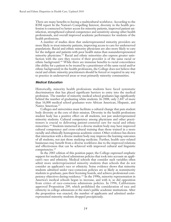There are many benefits to having a multicultural workforce. According to the IOM report In the Nation's Compelling Interest, diversity in the health profession is connected to better access for minority patients, improved patient satisfaction, strengthened cultural competence and sensitivity among other health professionals, and overall improved academic performance for students of the health professions.

A number of studies show that underrepresented minority providers are more likely to treat minority patients, improving access to care for underserved populations. Racial and ethnic minority physicians are also more likely to care for the indigent and patients with poor health status than nonunderrepresented minority physicians.<sup>105</sup> Racial and ethnic minorities also express greater satisfaction with the care they receive if their provider is of the same racial or ethnic background.106 While there are immense benefits to racial concordance (the ability for a patient to be treated by a practitioner of the same racial and/or ethnic background) in the health professions, the College does not believe that racial and ethnic minority practitioners should be forced or required in any way to practice in underserved areas or treat primarily minority communities.

#### *Medical Education*

Historically, minority health professions students have faced systematic discrimination that has placed significant barriers to entry into the medical profession. The number of minority medical school graduates lags significantly behind the number of graduating white students. In 2008, only 2,447 of more than 16,000 medical school graduates were African American, Hispanic, and Native American.107

Colleges and universities must facilitate a cultural change that puts student body diversity at the core of their mission. Diversity in the health professions student body has a positive effect on all students, not just underrepresented minority students. Cultural competency among physicians and other practitioners is crucial to delivering patient-centered care for racial and ethnic minorities.108 Students immersed in a diverse student body may have improved cultural competency and cross-cultural training than those trained in a more racially and ethnically homogenous academic center. Other evidence has shown that interaction with a diverse student body may improve the learning outcomes of all students, not just those studying medicine. Further, health care–related businesses may benefit from a diverse workforce due to the improved relations and effectiveness that can be achieved with improved cultural and linguistic competencies.109

In the 2003 edition of this position paper, the College expressed emphatic support for medical school admissions policies that took into account an applicant's race and ethnicity. Medical schools that consider such variables often admit more underrepresented minority students than schools that do not consider an applicant's race or ethnicity. Some evidence shows that minority students admitted under race-conscious policies are as likely as nonminority students to graduate, pass their licensing boards, and achieve professional competency objectives during residency.110 In the 1990s, minority representation in America's medical schools began to increase, and with it, so did opposition from critics of race-conscious admissions policies. In 1996, Californians approved Proposition 209, which prohibited the consideration of race and ethnicity in college admissions at the state's public academic institutions. After the proposition was enacted, the number of applicants and admitted underrepresented minority students dropped precipitously.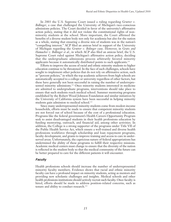In 2003 the U.S. Supreme Court issued a ruling regarding *Grutter v. Bollinger*, a case that challenged the University of Michigan's race-conscious admissions policies. The Court decided in favor of the university's affirmative action policy, stating that it did not violate the constitutional rights of nonminority students at the school. More important, the Court affirmed the benefits of a diverse student body not only for academia but also for the nation as a whole, stating that ensuring a diverse mix of students was in the nation's "compelling interest." ACP filed an amicus brief in support of the University of Michigan regarding the *Grutter v. Bolinger* case. However, in *Gratz and Hamacher v. Bollinger et al.*, in which ACP also filed an amicus brief, the U.S. Supreme Court ruled against Michigan's affirmative action policy, deciding that the undergraduate admissions process arbitrarily favored minority applicants because it automatically distributed points to such applicants.111

Efforts to improve the access of racial and ethnic minority students to higher education continue to be threatened. In the face of such challenges, schools have sought to implement other policies that do not rely on affirmative action, such as "percent policies," in which the top academic achievers from high schools are automatically accepted to a college or university regardless of other factors, but these have generally not been successful in raising the number of underrepresented minority admissions.<sup>112</sup> Once minority students interested in medicine are admitted to undergraduate programs, interventions should take place to ensure that such students reach medical school. Summer mentoring programs established by the Robert Wood Johnson Foundation and similar initiatives by the University of California system have been successful in helping minority students gain admission to medical school.<sup>113</sup>

Since many underrepresented minority students come from modest-income households, efforts must be made to ensure that competent minority students are not forced out of school because of the cost of a professional education. Programs like the federal government's Health Careers Opportunity Program seek to assist disadvantaged students in their health professions education by funding mentoring, outreach, and financial aid, among other activities. In addition, the College is a strong supporter of the programs under Title VII of the Public Health Service Act, which ensure a well-trained and diverse health professions workforce through scholarship and loan repayment programs, faculty development, and grants to improve training and access to care in underserved areas. Unfortunately, the capricious nature of federal appropriations has undermined the ability of these programs to fulfill their respective missions. Academic medical centers must change to ensure that the diversity of the nation is reflected in the student body so that the medical community of the future can be better prepared to care for the different patients it will encounter.

#### *Faculty*

Health professions schools should increase the number of underrepresented minority faculty members. Evidence shows that racial and ethnic minority faculty can have a profound impact on minority students, acting as mentors and providing new scholastic challenges and insights. Medical schools and other health professions institutions should actively recruit such faculty. Once faculty is hired, efforts should be made to address position-related concerns, such as tenure and ability to conduct research.<sup>114</sup>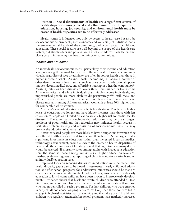#### **Position 7: Social determinants of health are a significant source of health disparities among racial and ethnic minorities. Inequities in education, housing, job security, and environmental health must be erased if health disparities are to be effectively addressed.**

Health status is influenced not only by access to health care but also by socioeconomic determinants, such as income and availability of nutritious foods, the environmental health of the community, and access to early childhood education. These social factors are well beyond the scope of the health care system, but stakeholders and policymakers must also address such factors that play a part in influencing the health of minority communities.

#### *Income and Education*

An individual's socioeconomic status, particularly their income and education level, is among the myriad factors that influence health. Lower-income individuals, regardless of race or ethnicity, are often in poorer health than those in higher income brackets. An individual's income may influence a number of other determinants of health status, such as one's access to educational opportunities, decent medical care, and affordable housing in a healthy community.115 Mortality rates for heart disease are two or three times higher for low-income African American and white individuals than middle-income individuals, and impoverished people are more likely to die prematurely.116,117 Still, racial and ethnic disparities exist in the lower- and middle-income brackets as heart disease mortality among African-American women is at least 50% higher than for comparable white women.

A person's level of education also affects health status. People with higher levels of education live longer and have higher incomes than those with less education.118 People with limited education are at a higher risk for cardiovascular disease.<sup>119</sup> The same study concludes that education may be the strongest predictor of good health and that education may influence health because it facilitates problem-solving and acquisition of socioeconomic skills that may prevent the adoption of adverse habits.

Better-educated people are more likely to have occupations for which they are offered health insurance and to manage their health. Some argue that a significant investment in education, rather than increased focus on medical technology advancement, would alleviate the dramatic health disparities of racial and ethnic minorities. One study found that eight times as many deaths would be averted "if mortality rates among adults with inadequate education were the same as those among individuals at higher education levels."<sup>120</sup> Further, evidence suggests that reporting of chronic conditions varies based on an individual's education level.

Improved focus on reducing disparities in education must be made if the health disparity gap is also to be closed. Investments in early childhood education and after-school programs for underserved minorities should be made to ensure academic success later in life. Head Start programs, which provide early education to low-income children, have been shown to improve early development.121 Evidence shows that black and white children who attended a Head Start program were more likely to receive a measles immunization than those who had not enrolled in such a program. Further, children who were enrolled in early childhood education programs are less likely than those not enrolled to engage in high-risk activities, such as smoking and illicit drug use.122 In addition, children who regularly attended after-school programs have markedly increased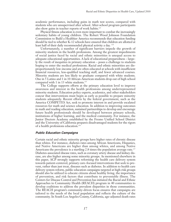academic performance, including gains in math test scores, compared with students who are unsupervised after school. After-school program participants also show gains in teacher reports of work habits.123

Physical fitness education is even more important to combat the increasingly sedentary habits of young children. The Robert Wood Johnson Foundation Commission to Build a Healthier America recommends that education funding should be tied to whether K-12 schools have ensured that children are allotted at least half of their daily recommended physical activity a day. 124

Unfortunately, a number of significant barriers impede the growth of minority students in the health professions. Among the greatest impediments of social justice faced by racial and ethnic minorities is unequal access to adequate educational opportunities. A lack of educational preparedness – largely the result of inequities in primary education – poses a challenge to students hoping to enter the medical professions. Racial and ethnic minorities are disproportionately low-income and are often educated at schools with insufficient financial resources, less-qualified teaching staff, and fewer advanced courses. Minority students are less likely to graduate compared with white students. One in 5 Latino and 1 in 10 African-American students drop out of high school compared with 1 in 13 white students.<sup>125</sup>

The College supports efforts at the primary education level to improve awareness and interest in the health professions among underrepresented minority students. Education policy experts, academics, and other stakeholders concur that interventions must begin as early as possible to prepare minority students adequately. Recent efforts by the federal government, such as the America COMPETES Act, seek to promote interest in and provide escalated resources for math and science education. In addition to improving outcomes in math and reading education, sustained partnerships to develop and encourage future health professionals should be developed between primary schools, institutions of higher learning, and the medical community. For instance, the Junior Doctors Academy established by the Fresno Unified School District and the University of California prepares disadvantaged students for the rigors of a health professions education.126

#### *Public Education Campaigns*

Certain racial and ethnic minority groups have higher rates of chronic disease than whites. For instance, diabetes rates among African Americans, Hispanics, and Native Americans are higher than among whites, and among Native Americans the prevalence is a startling 2.8 times the population average rate.<sup>127</sup> Diabetes-associated disease rates, such as coronary artery disease and kidney disease, are also higher among some minority groups. As mentioned elsewhere in this paper, ACP strongly supports reforming the health care delivery system towards patient-centered, primary care–focused interventions that seek to prevent, rather than just treat, diseases such as diabetes. In addition to health care delivery system reform, public education campaigns targeted at high-risk groups should also be utilized to educate citizens about healthy living, the importance of prevention, and risk factors that contribute to preventable illness. The Centers for Disease Control and Prevention has initiated the Racial and Ethnic Approaches to Community Health (REACH) program in 40 communities to develop coalitions to address the prevalent disparities in those communities. The REACH program's community-driven focus ensures that campaigns are tailored to the needs of the local population and reflects the culture of the community. In South Los Angeles County, California, age-adjusted death rates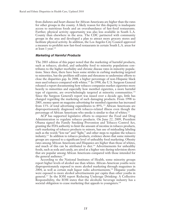from diabetes and heart disease for African Americans are higher than the rates for other groups in the county. A likely reason for this disparity is inadequate access to nutritious foods and an overabundance of fast-food restaurants. Further, physical activity opportunity was also less available in South L.A. County than elsewhere in the area. The CDC partnered with community groups in the area and developed a plan to attract more grocery stores and facilitate physical activity. In addition, the Los Angeles City Council approved a measure to prohibit new fast-food restaurants in certain South L.A. areas for at least 1 year.128

#### *Marketing of Harmful Products*

The 2003 edition of this paper noted that the marketing of harmful products, such as tobacco, alcohol, and unhealthy food to minority populations contributes to the higher morbidity and chronic disease rates in minority populations. Since then, there have been some strides in curbing marketing targeted to minorities, but the problem still exists and threatens to undermine efforts to close the disparities gap. In 2008, a higher percentage of non-Hispanic black men used tobacco compared with whites.129 In 1998, the U.S. Surgeon General released a report documenting how tobacco companies market cigarettes more heavily to minorities and especially how menthol cigarettes, a more harmful type of cigarette, are overwhelmingly targeted at minority communities.130 Since the Surgeon General's report was issued over a decade ago, little has changed regarding the marketing of such damaging products. From 1998 to 2005, money spent on magazine advertising for menthol cigarettes has increased from 13% of total advertising expenditures to 49%.131 African Americans are disproportionately diagnosed with tobacco-related illness even though the percentage of African Americans who smoke is similar to that of whites.<sup>132</sup>

ACP has supported legislative efforts to empower the Food and Drug Administration to regulate tobacco products. On June 22, 2009, President Obama signed the Family Smoking Prevention and Tobacco Control Act, granting the FDA authority to limit the amount of nicotine in tobacco products, curb marketing of tobacco products to minors, ban use of misleading labeling such as the words "low-tar" and "light," and other steps to regulate the tobacco industry.133 In addition to tobacco products, evidence shows that some minority groups are exposed to a significant level of unhealthy food marketing. Obesity rates among African Americans and Hispanics are higher than those of whites, and much of this can be attributed to diet.<sup>134</sup> Advertisements for unhealthy foods, such as soda and candy, are aired at a higher rate during television shows that are popular among African Americans compared with those intended for the general audience.<sup>135</sup>

According to the National Institutes of Health, some minority groups report higher levels of alcohol use than whites. African-American youths were disproportionately exposed to more alcohol marketing through magazines in 2004, as well as certain malt liquor radio advertisements.136 Hispanic youths were exposed to more alcohol advertisements per capita than other youths in general.137 In the IOM report Reducing Underage Drinking: A Collective Responsibility, the IOM states that the alcoholic beverage industry has a societal obligation to cease marketing that appeals to youngsters.<sup>138</sup>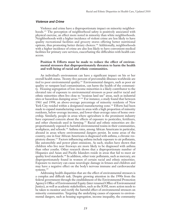#### *Violence and Crime*

Violence and crime have a disproportionate impact on minority neighborhoods.<sup>139</sup> The perception of neighborhood safety is positively associated with physical exercise, an effect more noted in minority than white neighborhoods. Neighborhoods with a higher incidence of violent crime are less likely to have quality recreational facilities and grocery stores offering better nutritional options, thus promoting better dietary choices.140 Additionally, neighborhoods with a higher incidence of crime are also less likely to have convenient medical facilities for primary care services, exacerbating the difficulties with health care access.

#### **Position 8: Efforts must be made to reduce the effect of environmental stressors that disproportionately threaten to harm the health and well-being of racial and ethnic communities.**

An individual's environment can have a significant impact on his or her overall health status. Twenty-five percent of preventable illnesses worldwide are tied to poor environmental quality.141 Environmental dangers, such as poor air quality or rampant lead contamination, can harm the health of the community. Housing segregation of low-income minorities is a likely contributor to the elevated rate of exposure to environmental stressors as poor and/or racial and ethnic minorities often live close to "noxious land use" areas, such as industrial sites or hazardous dumping areas.<sup>142,143</sup> For instance, a study found that between 1961 and 1998, an above-average percentage of minority residents of New York City resided within a designated manufacturing zone.<sup>144</sup> Efforts had been made to expand manufacturing zones in areas with a high proportion of minority residents, below-average incomes, and lower-than-average rates of home ownership. Similarly, people in areas where agriculture is the prominent industry have expressed concern about the effects of exposure to pesticides, fertilizers, and other chemicals used in farming.145 Racial and ethnic minorities are disproportionately exposed to harmful environmental toxins in their communities, workplaces, and schools.146 Asthma rates, among African Americans in particular, abound in areas where environmental dangers persist. In some areas of the country, one in four African Americans is diagnosed with asthma, a chronic respiratory disease.147 Factors influencing asthma include exposure to air pollutants, like automobile and power plant emissions. As such, studies have shown that children who live near freeways are more likely to be diagnosed with asthma than other youths. Other research shows that a disproportionate number of Hispanics and Asian and Pacific Islanders reside in areas that fail to meet air quality level standards.148 In addition, other toxic pollutants, such as mercury, are disproportionately found in women of certain racial and ethnic minorities. Exposure to mercury can cause neurologic damage in fetuses and children and may have a negative effect on the body's nervous immune and cardiovascular systems.<sup>149</sup>

Addressing health disparities that are the effect of environmental stressors is a complex and difficult task. Despite growing attention in the 1990s from the federal government through the establishment of the Environmental Protection Agency's Office of Environmental Equity (later renamed Office of Environmental Justice), as well as academic stakeholders, such as the IOM, more action needs to be taken to monitor and rectify the harmful effect of environmental stressors on minority communities. Targeting the underlying causes of exposure to environmental dangers, such as housing segregation, income inequality, the community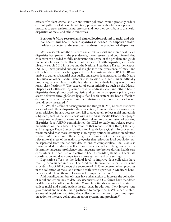effects of violent crime, and air and water pollution, would probably reduce current patterns of illness. In addition, policymakers should develop a set of measures to track environmental stressors and how they contribute to the health disparities of racial and ethnic minorities.

#### **Position 9: More research and data collection related to racial and ethnic health and health care disparities is needed to empower stakeholders to better understand and address the problem of disparities.**

While research into the existence and effects of racial and ethnic health care disparities has grown in the past decade, more research and coordinated data collection are needed to fully understand the scope of the problem and guide potential solutions. Early efforts to collect data on health disparities, such as the Healthy People 2010 initiative and the National Healthcare Disparities Report (NHDR), have yielded substantial insight into the prevalence of racial and ethnic health disparities, but gaps still exist. For instance, the 2006 NHDR was unable to gather substantial data quality and access data measures for the Native Hawaiian or other Pacific Islander classification and had similar difficulty producing data on Asian/Pacific Islander and individuals listing two or more racial classifications.150 The success of other initiatives, such as the Health Disparities Collaborative, which seeks to address racial and ethnic health disparities through improved linguistic and culturally competent primary care access delivered through federally qualified health centers, has been difficult to determine because data regarding the initiative's effect on disparities has not been directly measured.<sup>151</sup>

In 1998, the Office of Management and Budget (OMB) released standards for racial and ethnic disparities data collection; however, these measures have been criticized in part because they fail to adequately reflect racial and ethnic subgroups, such as the Vietnamese within the Asian/Pacific Islander category.152 In response to these concerns and others related to the confusion of tracking disparities data, AHRQ commissioned the IOM to study and release recommendations on the subject. The result of that request, 2009's Race, Ethnicity, and Language Data: Standardization for Health Care Quality Improvement, recommended that more ethnicity subcategory options be offered in addition to the OMB racial and ethnic categories.<sup>153</sup> Since not all subcategories are relevant to all areas of the nation, categories that reflect the local population can be separated from the national data to ensure compatibility. The IOM also recommended that data be collected on a patient's preferred language to better determine language proficiency and language preference during health care encounters. Further, use of electronic health records systems will facilitate coordination and data comparisons across systems and care settings.

Legislative efforts at the federal level to improve data collection have recently been signed into law. The Medicare Improvements for Patients and Providers Act of 2008 directs the Secretary of HHS to determine best practices in the collection of racial and ethnic health care disparities in Medicare beneficiaries and release them to Congress for implementation.<sup>154</sup>

Additionally, a number of states have taken action to increase the collection of racial and ethnic health data. Massachusetts and California have mandated health plans to collect such data. Massachusetts also requires hospitals to collect racial and ethnic patient health data. In addition, New Jersey's state government and hospitals have partnered to compile data. While partnerships are useful, legislation requiring data collection has the most significant impact on action to increase collaboration across systems and providers.155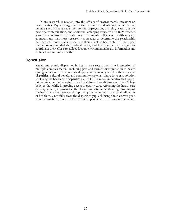More research is needed into the effects of environmental stressors on health status. Payne-Sturges and Gee recommend identifying measures that include such focus areas as residential segregation, drinking water quality, pesticide contamination, and additional emerging issues.156 The IOM reached a similar conclusion that data on environmental effects on health was not abundant and that more research was needed to determine the relationship between environmental stressors and their effect on health status. The report further recommended that federal, state, and local public health agencies coordinate their efforts to collect data on environmental health information and its link to community health.157

## **Conclusion**

Racial and ethnic disparities in health care result from the interaction of multiple complex factors, including past and current discrimination in health care, genetics, unequal educational opportunity, income and health care access disparities, cultural beliefs, and community systems. There is no easy solution to closing the health care disparities gap, but it is a moral imperative that appropriate resources be brought to bear to address these differences. The College believes that while improving access to quality care, reforming the health care delivery system, improving cultural and linguistic understanding, diversifying the health care workforce, and improving the inequities in the social influences of health may not fully close the disparities gap, achieving these worthy goals would dramatically improve the lives of all people and the future of the nation.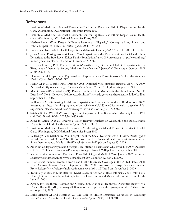# **References**

- 1. Institute of Medicine. Unequal Treatment: Confronting Racial and Ethnic Disparities in Health Care. Washington, DC: National Academies Press; 2002.
- 2. Institute of Medicine. Unequal Treatment: Confronting Racial and Ethnic Disparities in Health Care. Washington, DC: National Academies Press; 2002.
- 3. Herbert P et al. When Does A Difference Become a Disparity? Conceptualizing Racial and Ethnic Disparities in Health. *Health Affairs*. 2008: 374-382.
- 4. Lurie N and Dubowitz T. Health Disparities and Access to Health. *JAMA*. March 14, 2007: 1118-1121.
- 5. James C et al. Putting Women's Health Care Disparities on the Map: Examining Racial and Ethnic Disparities at the State Level. Kaiser Family Foundation. June 2009. Accessed at http://www.kff.org/ minorityhealth/upload/7886.pdf on November 2, 2009.
- 6. I. H. Zuckerman, P. T. Ryder, L. Simoni-Wastila et al., "Racial and Ethnic Disparities in the Treatment of Dementia Among Medicare Beneficiaries," *Journal of Gerontology*, October 2008 63B(5):S328–33.
- 7. Blendon R et al. Disparities in Physician Care: Experiences and Perceptions of a Multi-Ethic America. *Health Affairs*. 2008;27:507-517.
- 8. Heron M et al. Deaths: Final Data for 2006. National Vital Statistics Reports; April 17, 2009. Accessed at http://www.cdc.gov/nchs/data/nvsr/nvsr57/nvsr57\_14.pdf on August 17, 2009.
- 9. MacDorman MF and Mathews TJ. Recent Trends in Infant Mortality in the United States. NCHS Data Brief, No. 9. October 2008. Accessed at http://www.cdc.gov/nchs/data/databriefs/db09.pdf on September 15, 2009.
- 10. Williams RA. Eliminating healthcare disparities in America: beyond the IOM report. 2007. Accessed at http://books.google.com/books?id=AxwUqId5hwcC&dq=health+disparity+life+ expectancy+blacks+and+whites&source=gbs\_navlinks\_s on August 17, 2009.
- 11. Satcher D et al. What If We Were Equal? A Comparison of the Black-White Mortality Gap in 1960 and 2000. *Health Affairs*. 2005;24(2):459-464.
- 12. Acevedo-Garcia D et al. Towards a Policy-Relevant Analysis of Geographic and Racial/Ethnic Disparities in Child Health. *Health Affairs*. 2008: 321-333.
- 13. Institute of Medicine. Unequal Treatment: Confronting Racial and Ethnic Disparities in Health Care. Washington, DC: National Academies Press; 2002.
- 14. Wilensky G and Satcher D. Don't Forget About the Social Determinants of Health. *Health Affairs* [serial online]. 2009: w-194-198. Accessed at http://www.allhealth.org/briefingmaterials/ SocialDeterminantsofHealth--HAWilenskySatcher-1472.pdf on August 17, 2009.
- 15. American College of Physicians. Strategic Plan., Strategic Themes and Objectives. July 2009. Accessed at N:\RPE\Online Documents\Planning\Strategic Plan\2009-10.pdf on 15 September 2009.
- 16. Kaiser Family Foundation. Key Facts: Race, Ethnicity, and Medical Care. January 2007. Accessed at http://www.kff.org/minorityhealth/upload/6069-02.pdf on August 24, 2009.
- 17. U.S. Census Bureau. Income, Poverty, and Health Insurance Coverage in the United States: 2008. U.S. Census Bureau News. September 10, 2009. Accessed at http://www.census.gov/ Press-Release/www/releases/archives/income\_wealth/014227.html on November 3, 2009.
- 18. Testimony of Marsha Lillie-Blanton, Dr.P.H., Senior Advisor on Race, Ethnicity, and Health Care, Henry J. Kaiser Family Foundation, before the House Ways and Means Subcommittee on Health. June 10, 2008.
- 19. Agency for Healthcare Research and Quality. 2007 National Healthcare Disparities Report-At a Glance. Rockville, MD; February 2008. Accessed at http://www.ahrq.gov/qual/nhdr07/Glance.htm on August 24, 2009.
- 20. Lillie-Blanton M and Hoffman C. The Role of Health Insurance Coverage in Reducing Racial/Ethnic Disparities in Health Care. *Health Affairs*. 2005; 24:400-401.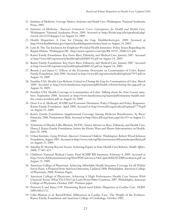- 21. Institute of Medicine. *Coverage Matters: Insurance and Health Care*. Washington: National Academies Press; 2001.
- 22. Institute of Medicine. *America's Uninsured Crisis: Consequences for Health and Health Care*. Washington: National Academies Press; 2009. Accessed at http://books.nap.edu/openbook.php? record\_id=12511&page=3 on August 24, 2009.
- 23. Health Disparities: A Case for Closing the Gap. Healthreform.gov. 2009. Accessed at http://www.healthreform.gov/reports/healthdisparities/index.html on August 24, 2009.
- 24. Lyke B. The Tax Exclusion for Employer-Provided Health Insurance: Policy Issues Regarding the Repeal Debate. Washington DC. http://assets.opencrs.com/rpts/RL34767\_20081121.pdf.
- 25. Kaiser Family Foundation. Key Facts: Race, Ethnicity, and Medical Care. January 2007. Accessed at http://www.kff.org/minorityhealth/upload/6069-02.pdf on August 24, 2009.
- 26. Kaiser Family Foundation. Key Facts: Race, Ethnicity, and Medical Care. January 2007. Accessed at http://www.kff.org/minorityhealth/upload/6069-02.pdf on August 24, 2009.
- 27. Berndt J and James C. Effects of the Economic Downturn on Communities of Color. Kaiser Family Foundation. July 2009. Accessed at http://www.kff.org/minorityhealth/upload/7953.pdf on August 24, 2009.
- 28. Families USA. Health Care Reform: Critical to Closing the Gap for Communities of Color. March 2009. Accessed at http://www.familiesusa.org/assets/pdfs/health-reform/closing-the-gap.pdf on August 24, 2009.
- 29. Families USA. Health Coverage in Communities of Color: Talking about the New Census numbers. September 2008. Accessed at http://www.familiesusa.org/assets/pdfs/minority-health-andthe-census-numbers.pdf on August 24, 2009.
- 30. Dorn S et al. Medicaid, SCHIP, and Economic Downturn: Policy Changes and Policy Responses. Kaiser Family Foundation. April 2008. Accessed at http://www.kff.org/medicaid/upload/7770.pdf on August 25, 2009.
- 31. Kaiser Family Foundation. Supplemental Coverage Among Medicare Beneficiaries, by Race/ Ethnicity, 2006. Presentation Slide. Accessed at http://facts.kff.org/chart.aspx?ch=519 on August 25, 2009.
- 32. Testimony of Marsha Lillie-Blanton, Dr.P.H., Senior Advisor on Race, Ethnicity, and Health Care, Henry J. Kaiser Family Foundation, before the House Ways and Means Subcommittee on Health. June 10, 2008.
- 33. Urban Institute, *Going Without: America's Uninsured Children*. Washington: Robert Wood Johnson Foundation, August 2005. Accessed at http://www.rwjf.org/files/newsroom/ckfresearchreportfinal.pdf on August 25, 2009.
- 34. Smedley B. Moving Beyond Access: Achieving Equity in State Health Care Reform. *Health Affairs*. 2008; 27:447-455.
- 35. Children's National Medical Center. Final SCHIP Bill Summary. February 4, 2009. Accessed at http://www.childrensnational.org/files/PDF/advocacy/OnCapitolHill/SCHIPresolution.pdf on August 25, 2009.
- 36. American College of Physicians. Achieving Affordable Health Insurance Coverage for all Within Seven Years: A Proposal from America's Internists, Updated 2008. Philadelphia: American College of Physicians; 2008: Position Paper.
- 37. American College of Physicians. Achieving A High Performance Health Care System With Universal Access: What The USA Can Learn From Other Countries, 2007. Philadelphia: American College of Physicians; October 2007. Position paper.
- 38. Peterson E and Yancy CW. Eliminating Racial aand Ethnic Disparities in Cardiac Care. *NEJM*. 2009;360:1172.
- 39. Lillie-Blanton et al. Racial/Ethnic Differences in Cardiac Care: The Weight of the Evidence. Kaiser Family Foundation and American College of Cardiology. October 2002.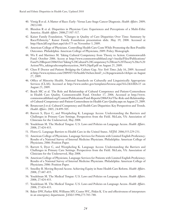- 40. Virnig B et al. A Matter of Race: Early- Versus Late-Stage Cancer Diagnosis. *Health Affairs*. 2009; 28(1):160.
- 41. Blendon R et al. Disparities in Physician Care: Experiences and Perceptions of a Multi-Ethic America. *Health Affairs*. 2008;27:507-517.
- 42. Kaiser Family Foundation. "Changes in Quality of Care Disparities Over Time: Summary by Race/Ethnicity." Kaiser Family Foundation presentation slide. May 19, 2008. Accessed at http://facts.kff.org/chart.aspx?ch=375 on November 3, 2009.
- 43. American College of Physicians. Controlling Health Care Costs While Promoting the Best Possible Outcomes. Philadelphia: American College of Physicians; 2009: Policy Monograph.
- 44. Wu E and Martinez M. Taking Cultural Competency from Theory to Action. Commonwealth Fund. October 2006. Access at http://www.commonwealthfund.org/~/media/Files/Publications/ Fund%20Report/2006/Oct/Taking%20Cultural%20Competency%20from%20Theory%20to%20 Action/Wu\_takingcultcomptheoryaction\_964%20pdf.pdf on August 25, 2009.
- 45. Chen P. Doctor and Patient: Bridging the Culture Gap. *New York Times*. July 16, 2009. Accessed at http://www.nytimes.com/2009/07/16/health/16chen.html?\_r=2&pagewanted=1&hpw on August 27, 2009.
- 46. Office of Minority Health. National Standards on Culturally and Linguistically Appropriate Services (CLAS). Accessed at http://www.omhrc.gov/templates/browse.aspx?lvl=2&lvlID=15 on August 25, 2009.
- 47. Beach MC et al. The Role and Relationship of Cultural Competence and Patient-Centeredness in Health Care Quality. Commonwealth Fund. October 17, 2006. Accessed at http://www. commonwealthfund.org/Content/Publications/Fund-Reports/2006/Oct/The-Role-and-Relationshipof-Cultural-Competence-and-Patient-Centeredness-in-Health-Care-Quality.aspx on August 25, 2009.
- 48. Betancourt J et al. Cultural Competency and Health Care Disparities: Key Perspectives and Trends. *Health Affairs*. 2005; 24:499-505.
- 49. Barrett S, Dyer C, and Westpheling K. Language Access: Understanding the Barriers and Challenges in Primary Care Settings. Perspectives from the Field. McLain, VA: Association of Clinicians for the Underserved, May 2008.
- 50. Youdelman M. The Medical Tongue: U.S. Laws and Policies on Language Access. *Health Affairs*. 2008; 27:424-433.
- 51. Flores G. Language Barriers to Health Care in the United States. *NEJM*. 2006;355:229-231.
- 52. American College of Physicians. Language Services for Patients with Limited English Proficiency: Results of a National Survey of Internal Medicine Physicians. Philadelphia: American College of Physicians; 2006: Position Paper.
- 53. Barrett S, Dyer C, and Westpheling K. Language Access: Understanding the Barriers and Challenges in Primary Care Settings. Perspectives from the Field. McLain, VA: Association of Clinicians for the Underserved, May 2008.
- 54. American College of Physicians. Language Services for Patients with Limited English Proficiency: Results of a National Survey of Internal Medicine Physicians. Philadelphia: American College of Physicians; 2006: Position Paper.
- 55. Smedley B. Moving Beyond Access: Achieving Equity in State Health Care Reform. *Health Affairs*. 2008; 27:447-455.
- 56. Youdelman M. The Medical Tongue: U.S. Laws and Policies on Language Access. *Health Affairs*. 2008; 27:424-433.
- 57. Youdelman M. The Medical Tongue: U.S. Laws and Policies on Language Access. *Health Affairs*. 2008; 27:424-433.
- 58. Baker DW, Parker RM, Williams MV, Coates WC, Pitkin K. Use and effectiveness of interpreters in an emergency department. *JAMA* 1996;275:783-788.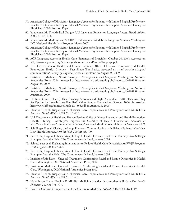- 59. American College of Physicians. Language Services for Patients with Limited English Proficiency: Results of a National Survey of Internal Medicine Physicians. Philadelphia: American College of Physicians; 2006: Position Paper.
- 60. Youdelman M. The Medical Tongue: U.S. Laws and Policies on Language Access. *Health Affairs*. 2008; 27:424-433.
- 61. Youdelman M. Medicaid and SCHIP Reimbursement Models for Language Services. Washington DC: National Health Law Program. March 2007.
- 62. American College of Physicians. Language Services for Patients with Limited English Proficiency: Results of a National Survey of Internal Medicine Physicians. Philadelphia: American College of Physicians; 2006: Position Paper.
- 63. ACP. Language Access in Health Care: Statement of Principles. October 24, 2004. Accessed on http://www.acponline.org/advocacy/where\_we\_stand/access/language.pdf.
- 64. U.S. Department of Health and Human Services Office of Disease Prevention and Health Promotion. Health Literacy – Fact Sheet: The Basics. Accessed at http://www.health.gov/ communication/literacy/quickguide/factsbasic.htm#one on August 26, 2009.
- 65. Institute of Medicine. *Health Literacy: A Prescription to End Confusion*. Washington: National Academies Press; 2004. Accessed at http://www.nap.edu/catalog.php?record\_id=10883#toc on August 26, 2009.
- 66. Institute of Medicine. *Health Literacy: A Prescription to End Confusion*. Washington: National Academies Press; 2004. Accessed at http://www.nap.edu/catalog.php?record\_id=10883#toc on August 26, 2009.
- 67. Hoffman C and Tolbert J. Health savings Accounts and High Deductible Health Plans: Are They An Option for Low-Income Families? Kaiser Family Foundation. October 2006. Accessed at http://www.kff.org/uninsured/upload/7568.pdf on August 26, 2009.
- 68. Blendon R et al. Disparities in Physician Care: Experiences and Perceptions of a Multi-Ethic America. *Health Affairs*. 2008;27:507-517.
- 69. U.S. Department of Health and Human Services Office of Disease Prevention and Health Promotion. Health Literacy – Strategies: Improve the Usability of Health Information. Accessed at http://www.health.gov/communication/literacy/quickguide/healthinfo.htm#three on August 26, 2009.
- 70. Schillinger D et al. Closing the Loop: Physician Communication with diabetic Patients Who Have Low Health Literacy. *Arch Int Med*. 2003;163:83-90.
- 71. Barret SR, Puryear J Sheen, Westpheling K. Health Literacy Practices in Primary Care Settings: Examples from the Field. The Commonwealth Fund, January 2008.
- 72. Schlotthauer et al. Evaluating Interventions to Reduce Health Care Disparities: An RWJF Program. *Health Affairs*. 2008; 27:568.
- 73. Barret SR, Puryear J Sheen, Westpheling K. Health Literacy Practices in Primary Care Settings: Examples from the Field. The Commonwealth Fund, January 2008.
- 74. Institute of Medicine. Unequal Treatment: Confronting Racial and Ethnic Disparities in Health Care. Washington, DC: National Academies Press; 2002.
- 75. Institute of Medicine. Unequal Treatment: Confronting Racial and Ethnic Disparities in Health Care. Washington, DC: National Academies Press; 2002.
- 76. Blendon R et al. Disparities in Physician Care: Experiences and Perceptions of a Multi-Ethic America. *Health Affairs*. 2008;27:507-517.
- 77. Hutchinson T and Dobkin P. Mindful Medicine practice: just another fad? *Canadian Family Physician*. 2009;55:778-779.
- 78. Fox RC. Cultural Competence and the Culture of Medicine. *NEJM*. 2005;353:1316-1319.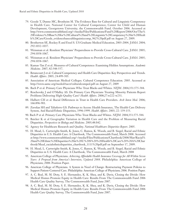- 79. Goode T, Dunne MC, Bronheim M. The Evidence Base for Cultural and Linguistic Competency in Health Care. National Center for Cultural Competence; Center for Child and Human Development, Georgetown University; the Commonwealth Fund. October 2006. Accessed at http://www.commonwealthfund.org/~/media/Files/Publications/Fund%20Report/2006/Oct/The% 20Evidence%20Base%20for%20Cultural%20and%20Linguistic%20Competency%20in%20Healt h%20Care/Goode\_evidencebasecultlinguisticcomp\_962%20pdf.pdf on August 27, 2009.
- 80. Brotherton SE, Rockey P, and Etzel S. US Graduate Medical Education, 2003-2004. *JAMA*. 2004; 292:1032-1037.
- 81. Weissman et al. Resident Physicians' Preparedness to Provide Cross-Cultural Care. *JAMA*. 2005; 294:1058-1067.
- 82. Weissman et al. Resident Physicians' Preparedness to Provide Cross-Cultural Care. *JAMA*. 2005; 294:1058-1067.
- 83. Kumas-Tan Z et al. Measures of Cultural Competence: Examining Hidden Assumptions. *Academic Medicine*. 2007; 82:548-557.
- 84. Betancourt J et al. Cultural Competency and Health Care Disparities: Key Perspectives and Trends. *Health Affairs*. 2005; 24:499-505.
- 85. Association of American Medical Colleges. Cultural Competence Education. 2005. Accessed at http://www.aamc.org/meded/tacct/culturalcomped.pdf on August 27, 2009
- 86. Bach P et al. Primary Care Physicians Who Treat Blacks and Whites. *NEJM*. 2004;351:575-584.
- 87. Reschovsky J and O'Malley AS. Do Primary Care Physicians Treating Minority Patients Report Problems Delivering High-Quality Care? *Health Affairs*. 2008;27:w222-w231.
- 88. Halbert CH et al. Racial Differences in Trust in Health Care Providers. *Arch Inten Med*. 2006; 166:896-901.
- 89. Zuvekas SH and Taliaferro GS. Pathways to Access: Health Insurance, The Health Care Delivery System, And Racial/Ethnic Disparities, 1996-1999. *Health Affairs*. 2003; 22: 139-153.
- 90. Bach P et al. Primary Care Physicians Who Treat Blacks and Whites. *NEJM*. 2004;351:575-584.
- 91. Baicker K et al Geographic Variation in Health Care and the Problem of Measuring Racial Disparities. *Perspectives in Biology and Medicine*. 2005;48:S42.
- 92. Agency for Healthcare Research and Quality. *National Healthcare Disparities Report*. 2005.
- 93. H. Mead, L. Cartwright-Smith, K. Jones, C. Ramos, K. Woods, and B. Siegel, Racial and Ethnic Disparities in U.S. Health Care: A Chartbook, The Commonwealth Fund, March 2008. Accessed at http://www.commonwealthfund.org/~/media/Files/Publications/Chartbook/2008/Mar/Racial% 20and%20Ethnic%20Disparities%20in%20U%20S%20%20Health%20Care%20%20A%20Char tbook/Mead\_racialethnicdisparities\_chartbook\_1111%20pdf.pdf on September 17, 2009.
- 94. H. Mead, L. Cartwright-Smith, K. Jones, C. Ramos, K. Woods, and B. Siegel, Racial and Ethnic Disparities in U.S. Health Care: A Chartbook, The Commonwealth Fund, March 2008
- 95. American College of Physicians. *Achieving Affordable Health Insurance Coverage for All Within Seven Years: A Proposal from America's Internists, Updated 2008*. Philadelphia: American College of Physicians; 2008: Position Paper.
- 96. American College of Physicians. A System in Need of Change: Restructuring Payment Policies to Support Patient-Centered Care. Philadelphia: American College of Physicians; 2006. Position Paper.
- 97. A. C. Beal, M. M. Doty, S. E. Hernandez, K. K. Shea, and K. Davis, Closing the Divide: How Medical Homes Promote Equity in Health Care: Results From The Commonwealth Fund 2006 Health Care Quality Survey, The Commonwealth Fund, June 2007.
- 98. A. C. Beal, M. M. Doty, S. E. Hernandez, K. K. Shea, and K. Davis, Closing the Divide: How Medical Homes Promote Equity in Health Care: Results From The Commonwealth Fund 2006 Health Care Quality Survey, The Commonwealth Fund, June 2007.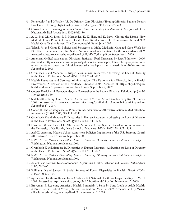- 99. Reschovsky J and O'Malley AS. Do Primary Care Physicians Treating Minority Patients Report Problems Delivering High-Quality Care? *Health Affairs*. 2008;27:w222-w231.
- 100. Gaskin D et al. *Examining Racial and Ethnic Disparities in Site of Usual Source of Care*. Journal of the National Medical Association. 2007;99:22-30.
- 101. A. C. Beal, M. M. Doty, S. E. Hernandez, K. K. Shea, and K. Davis, Closing the Divide: How Medical Homes Promote Equity in Health Care: Results From The Commonwealth Fund 2006 Health Care Quality Survey, The Commonwealth Fund, June 2007.
- 102. Takash M and Osius E. Policies and Strategies to Make Medicaid Managed Care Work for FQHCs: Experiences from Two States. National Academy for state Health Policy. March 2009. Accessed at http://www.nashp.org/files/AL\_MI\_MMC\_final.pdf on September 1, 2009.
- 103. American Medical Association. Physician Statistics: Total Physicians by Race/Ethnicity 2006. Accessed at http://www.ama-assn.org/ama/pub/about-ama/our-people/member-groups-sections/ minority-affairs-consortium/physician-statistics/total-physicians-raceethnicity-2006.shtml on September 2, 2009.
- 104. Grumbach K and Mendoza R. Disparities in human Resources: Addressing the Lack of Diversity in the Health Professions. *Health Affairs*. 2008;27:413-422.
- 105. Health Resources and Services Administration. The Rationale for Diversity in the Health Professions: A Review of the Evidence. October 2006. Accessed at http://bhpr.hrsa.gov/ healthworkforce/reports/diversity/default.htm on September 2, 2009.
- 106. Cooper-Patrick et al. Race, Gender, and Partnership in the Patient-Physician Relationship. *JAMA*. 1999;282:583-589.
- 107. Statehealthfacts.org. United States: Distribution of Medical School Graduates by Race/Ethnicity, 2008. Accessed at http://www.statehealthfacts.org/profileind.jsp?ind=454&cat=9&rgn=1 on September 17, 2009.
- 108. Cohen JJ. The Consequences of Premature Abandonment of Affirmative Action in Medical School Admissions. *JAMA*. 2003; 289:1143-1149.
- 109. Grumbach K and Mendoza R. Disparities in Human Resources: Addressing the Lack of Diversity in the Health Professions. *Health Affairs*. 2008;27:413-422.
- 110. Davidson RC and Lewis EL. Affirmative Action and Other Special Consideration Admissions at the University of California, Davis School of Medicine. *JAMA*. 1997;278:1153-1158.
- 111. AAMC. Assessing Medical School Admissions Policies: Implications of the U.S. Supreme Court's Affirmative-Action Decisions. September 2003.
- 112. IOM. *In the Nation's Compelling Interest: Ensuring Diversity in the Health-Care Workforce*. Washington: National Academies; 2004.
- 113. Grumbach K and Mendoza R. Disparities in Human Resources: Addressing the Lack of Diversity in the Health Professions. *Health Affairs*. 2008;27:413-422.
- 114. IOM. *In the Nation's Compelling Interest: Ensuring Diversity in the Health-Care Workforce*. Washington: National Academies; 2004.
- 115. Adler N and Newman K. Socioeconomic Disparities in Health: Pathways and Policies. *Health Affairs*. 2002; 21(2):66.
- 116. Williams D and Jackson P. Social Sources of Racial Disparities in Health. *Health Affairs*. 2005;24(2):325-334.
- 117. Agency for Healthcare Research and Quality. 2008 National Healthcare Disparities Report. March 2009. Accessed at http://www.ahrq.gov/QUAL/nhdr08/nhdr08.pdf on November 12, 2009.
- 118. Braveman P. Reaching America's Health Potential: A State-by-State Look at Adult Health. A Presentation. Robert Wood Johnson Foundation. May 15, 2009. Accessed at http://www. allhealth.org/briefing\_detail.asp?bi=155 on September 2, 2009.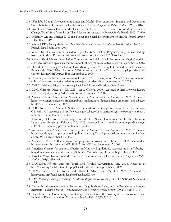- 119. Winkleby M et al. Socioeconomic Status and Health: How education, Income, and Occupation Contribute to Risk Factors for Cardiovascular Disease. *Am Journal Public Health*. 1992; 82:816.
- 120. Woolf et al. Giving Everyone the Health of the Educated: An Examination of Whether Social Change Would Save More Lives Than Medical Advances. *Am Journal Public Health*. 2007; 97:679.
- 121. Wilensky GR and Satcher D. Don't Forget the Social Determinants of Health. *Health Affairs*. 2009;28:w194-198.
- 122. Schoeni RF. *Making Americans Healthier: Social and Economic Policy as Health Policy*. New York: Russell Sage Foundation. 2008.
- 123. Vandell DL et al. Outcomes Linked to High-Quality Afterschool Programs: Longitudinal Findings from the Study of Promising Afterschool Programs. October 2007. Tirodkar.
- 124. Robert Wood Johnson Foundation Commission to Build a Healthier America. Physical Activity. 2009. Accessed at http://www.commissiononhealth.org/PhysicalActivity.aspx on September 7, 2009.
- 125. Orfield G et al. Losing Our Future: How Minority Youth Are Being Left Behind by the Graduation Rate Crisis. The Urban Institute: 2004. Accessed at http://www.urban.org/UploadedPDF/ 410936\_LosingOurFuture.pdf on September 2, 2009.
- 126. University of California, San Francisco, Fresno. USCF Fresno Junior Doctors Academy. Accessed at http://www.fresno.ucsf.edu/latinocenter/jr-dr-academy.htm on September 2, 2009.
- 127. AHRQ. Diabetes Disparities Among Racial and Ethnic Minorities: Fact Sheet.
- 128. CDC. Chronic Disease REACH At A Glance. 2009. Accessed at http://www.cdc.gov/ NCCdphp/publications/AAG/reach.htm on September 7, 2009
- 129. American Lung Association. Smoking Rates Among African Americans. 2009. Access at http://www.lungusa.org/stop-smoking/about-smoking/facts-figures/african-americans-and-tobacco. html#2 on December 17, 2009.
- 130. CDC. Tobacco Use Among U.S. Racial/Ethnic Minority Groups. A Report of the U.S. Surgeon General, 1998. Accessed at http://www.cdc.gov/tobacco/data\_statistics/sgr/1998/complete\_report/ index.htm on September 7, 2009.
- 131. Testimony of Gregory N. Connolly before the U.S. Senate Committee on Health, Education, Labor, and Pensions. February 27, 2007. Accessed at http://help.senate.gov/Hearings/ 2007\_02\_27/Connolly.pdf on September 7, 2009.
- 132. American Lung Association. Smoking Rates Among African Americans. 2009. Access at http://www.lungusa.org/stop-smoking/about-smoking/facts-figures/african-americans-and-tobacco.html#2 on December 17, 2009.
- 133. Associated Press. "Obama signs sweeping anti-smoking bill." June 22, 2009. Accessed at http://www.msnbc.msn.com/id/31481823/from/ET/ on September 7, 2009.
- 134. American Obesity Association. Obesity in Minority Populations. Accessed at http://obesity1. tempdomainname.com/subs/fastfacts/Obesity\_Minority\_Pop.shtml on September 7, 2009.
- 135. Tirodkar M and Jain A. Food Messages on African American Television Shows. *Am Journal Public Health*. 2003;93:439-441.
- 136. CAMY.org. African-American Youth and Alcohol Advertising. June 2006. Accessed at http://camy.org/factsheets/index.php?FactsheetID=11 on September 7, 2009.
- 137. CAMY.org. Hispanic Youth and Alcohol Advertising. October 2005. Accessed at http://camy.org/factsheets/index.php?FactsheetID=10.
- 138. IOM. *Reducing Underage Drinking: A Collective Responsibility*. Washington: The National Academies, 2003.
- 139. Center for Disease Control and Prevention. Neighborhood Safety and the Prevalence of Physical Inactivity—Selected States, 1996, *Morbidity and Mortality Weekly Report*. 1999;48(7):143–146.
- 140. Cheadle A. et al. Community-Level Comparisons between the Grocery Store Environment and Individual Dietary Practices, *Preventive Medicine* 1991; 20(2): 250–261.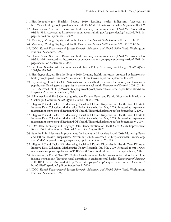- 141. Healthypeople.gov. Healthy People 2010: Leading health indicators. Accessed at http://www.healthypeople.gov/Document/html/uih/uih\_4.htm#environqual on September 8, 2009.
- 142. Shavers V and Shavers S. Racism and health inequity among Americans. J Natl Med Assoc. 2006; 98:386-396. Accessed at http://www.pubmedcentral.nih.gov/pagerender.fcgi?artid=2576116& pageindex=3 on September 7, 2009.
- 143. Maantay J. Zoning, Equity, and Public Health. *Am Journal Public Health*. 2001;91:1033-1041.
- 144. Maantay J. Zoning, Equity, and Public Health. *Am Journal Public Health*. 2001;91:1033-1041.
- 145, IOM. *Toward Environmental Justice: Research, Education, and Health Policy Needs*. Washington: National Academies; 1999.
- 146. Shavers V and Shavers S. Racism and health inequity among Americans. J Natl Med Assoc. 2006; 98:386-396. Accessed at http://www.pubmedcentral.nih.gov/pagerender.fcgi?artid=2576116& pageindex=3 on September 7, 2009.
- 147. Bell J and Standish M. Communities and Health Policy: A Pathway for Change. *Health Affairs*. 2005;24:339-342.
- 148. Healthypeople.gov. Healthy People 2010: Leading health indicators. Accessed at http://www. healthypeople.gov/Document/html/uih/uih\_4.htm#environqual on September 8, 2009.
- 149. Payne-Sturgis D and Gee GC. National environmental health measures for minority and low-income populations: Tracking social disparities in environmental health. *Environmental Research*. 2006;102:154- 171. Accessed at http://yosemite.epa.gov/ochp/ochpweb.nsf/content/Disparities2.htm/\$File/ Disparities2.pdf on September 8, 2009.
- 150. Bilheimer L and Sisk J. Collecting Adequate Data on Racial and Ethnic Disparities in Health: the Challenges Continue. *Health Affairs*. 2008;27(2):383-391.
- 151. Higgins PC and Taylor EF. Measuring Racial and Ethnic Disparities in Health Care: Efforts to Improve Data Collection. Mathematica Policy Research, Inc. May 2009. Accessed at http://www. mathematica-mpr.com/publications/PDFs/health/disparitieshealthcare.pdf on September 9, 2009.
- 152. Higgins PC and Taylor EF. Measuring Racial and Ethnic Disparities in Health Care: Efforts to Improve Data Collection. Mathematica Policy Research, Inc. May 2009. Accessed at http://www. mathematica-mpr.com/publications/PDFs/health/disparitieshealthcare.pdf on September 9, 2009.
- 153. IOM. Race, Ethnicity, and Language Data: Standardization for Health Care Quality Improvement. Report Brief. Washington: National Academies. August 2009.
- 154. Families USA. Medicare Improvements for Patients and Providers Act of 2008: Addressing Racial and Ethnic Health Disparities. November 2008. Accessed at http://www.familiesusa.org/ assets/pdfs/mippa-addressing-disparities\_3.pdf on September 9, 2009.
- 155. Higgins PC and Taylor EF. Measuring Racial and Ethnic Disparities in Health Care: Efforts to Improve Data Collection. Mathematica Policy Research, Inc. May 2009. Accessed at http://www. mathematica-mpr.com/publications/PDFs/health/disparitieshealthcare.pdf on September 9, 2009.
- 156. Payne-Sturgis D and Gee GC. National environmental health measures for minority and lowincome populations: Tracking social disparities in environmental health. *Environmental Research*. 2006;102:154-171. Accessed at http://yosemite.epa.gov/ochp/ochpweb.nsf/content/Disparities2. htm/\$File/Disparities2.pdf on September 8, 2009.
- 157. IOM. *Toward Environmental Justice: Research, Education, and Health Policy Needs*. Washington: National Academies; 1999.